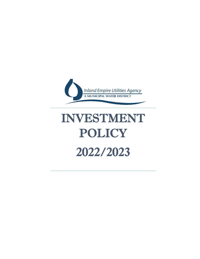

# INVESTMENT POLICY 2022/2023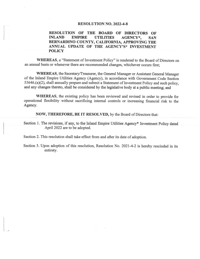## **RESOLUTION NO. 2022-4-8**

#### RESOLUTION OF THE BOARD OF DIRECTORS OF **INLAND EMPIRE UTILITIES** AGENCY\*. **SAN** BERNARDINO COUNTY, CALIFORNIA, APPROVING THE ANNUAL UPDATE OF THE AGENCY'S\* INVESTMENT **POLICY**

WHEREAS, a "Statement of Investment Policy" is rendered to the Board of Directors on an annual basis or whenever there are recommended changes, whichever occurs first:

WHEREAS, the Secretary/Treasurer, the General Manager or Assistant General Manager of the Inland Empire Utilities Agency (Agency), in accordance with Government Code Section 53646.(a)(2), shall annually prepare and submit a Statement of Investment Policy and such policy, and any changes thereto, shall be considered by the legislative body at a public meeting; and

WHEREAS, the existing policy has been reviewed and revised in order to provide for operational flexibility without sacrificing internal controls or increasing financial risk to the Agency.

NOW, THEREFORE, BE IT RESOLVED, by the Board of Directors that:

Section 1. The revisions, if any, to the Inland Empire Utilities Agency\* Investment Policy dated April 2022 are to be adopted.

Section 2. This resolution shall take effect from and after its date of adoption.

Section 3. Upon adoption of this resolution, Resolution No. 2021-4-2 is hereby rescinded in its entirety.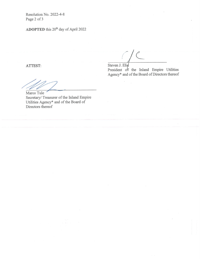Resolution No. 2022-4-8 Page 2 of 3

ADOPTED this 20<sup>th</sup> day of April 2022

ATTEST:

Steven J. Elie President of the Inland Empire Utilities Agency\* and of the Board of Directors thereof

Marco Tule Secretary/ Treasurer of the Inland Empire Utilities Agency\* and of the Board of Directors thereof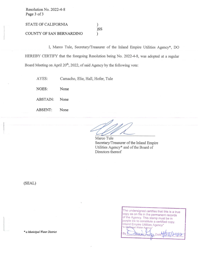Resolution No. 2022-4-8 Page 3 of 3

STATE OF CALIFORNIA

COUNTY OF SAN BERNARDINO

I, Marco Tule, Secretary/Treasurer of the Inland Empire Utilities Agency\*, DO HEREBY CERTIFY that the foregoing Resolution being No. 2022-4-8, was adopted at a regular Board Meeting on April 20<sup>th</sup>, 2022, of said Agency by the following vote:

 $\mathcal{L}$ )SS

λ

AYES: Camacho, Elie, Hall, Hofer, Tule

NOES: None

ABSTAIN: None

ABSENT: None

Marco Tule Secretary/Treasurer of the Inland Empire Utilities Agency\* and of the Board of Directors thereof

(SEAL)

The undersigned certifies that this is a true copy as on file in the permanent records of the Agency. This stamp must be in purple ink to constitute a certified copy. Inland Empire Utilities Agency' "A Manisipal Water Age

By Date

\* a Municipal Water District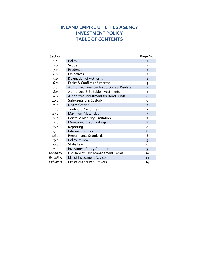# **INLAND EMPIRE UTILITIES AGENCY INVESTMENT POLICY TABLE OF CONTENTS**

| <b>Section</b> |                                                        | Page No.       |
|----------------|--------------------------------------------------------|----------------|
| 1.0            | Policy                                                 | $\mathbf{1}$   |
| 2.0            | Scope                                                  | 1              |
| 3.0            | Prudence                                               | $\overline{2}$ |
| 4.0            | Objectives                                             | $\overline{2}$ |
| 5.0            | Delegation of Authority                                | $\overline{2}$ |
| 6.0            | Ethics & Conflicts of Interest                         | 3              |
| 7.0            | <b>Authorized Financial Institutions &amp; Dealers</b> | 3              |
| 8.0            | Authorized & Suitable Investments                      | 3              |
| 9.0            | Authorized Investment for Bond Funds                   | 6              |
| 10.0           | Safekeeping & Custody                                  | 6              |
| 11.0           | Diversification                                        | 7              |
| 12.0           | <b>Trading of Securities</b>                           | 7              |
| 13.0           | <b>Maximum Maturities</b>                              | 7              |
| 14.0           | Portfolio Maturity Limitation                          | 7              |
| 15.0           | <b>Monitoring Credit Ratings</b>                       | 8              |
| 160            | Reporting                                              | 8              |
| 17.0           | <b>Internal Controls</b>                               | 8              |
| 18.0           | Performance Standards                                  | 8              |
| 19.0           | <b>Policy Review</b>                                   | 9              |
| 20.0           | <b>State Law</b>                                       | 9              |
| 21.0           | <b>Investment Policy Adoption</b>                      | 9              |
| Appendix       | Glossary of Cash Management Terms                      | 10             |
| Exhibit A      | List of Investment Advisor                             | 13             |
| Exhibit B      | List of Authorized Brokers                             | 14             |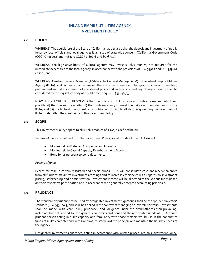# **INLAND EMPIRE UTILITIES AGENCY INVESTMENTPOLICY**

## **1.0 POLICY**

WHEREAS; The Legislature of the State of California has declared that the deposit and investment of public funds by local officials and local agencies is an issue of statewide concern (California Government Code (CGC) § 53600.6 and 53630.1 (CGC §53600.6 and §53630.1);

WHEREAS; the legislative body of a local agency may invest surplus monies, not required for the immediate necessities of the local agency, in accordance with the provisions of CGC §5922 and CGC §53601 et seq.; and

WHEREAS; Assistant General Manager (AGM) or the General Manager (GM) of the Inland Empire Utilities Agency (IEUA) shall annually, or whenever there are recommended changes, whichever occurs first, prepare and submit a statement of investment policy and such policy, and any changes thereto, shall be considered by the legislative body at a public meeting (CGC §53646[a]).

NOW, THEREFORE, BE IT RESOLVED that the policy of IEUA is to invest funds in a manner which will provide: (i) the maximum security; (ii) the funds necessary to meet the daily cash flow demands of the IEUA; and (iii) the highest investment return while conforming to all statutes governing the investment of IEUA funds within the constraints of this Investment Policy.

## **2.0 SCOPE**

This Investment Policy applies to all surplus monies of IEUA, as defined below.

*Surplus Monies* are defined, for the Investment Policy, as all funds of the IEUA except:

- Monies held in Deferred Compensation Accounts
- Monies held in Capital Capacity Reimbursement Accounts
- Bond funds pursuant to bond documents

## *Pooling of funds*

Except for cash in certain restricted and special funds, IEUA will consolidate cash and reserve balances from all funds to maximize investments earnings and to increase efficiencies with regards to investment pricing, safekeeping and administration. Investment income will be allocated to the various funds based on their respective participation and in accordance with generally accepted accounting principles.

## **3.0 PRUDENCE**

The standard of prudence to be used by designated investment signatories shall be the "prudent investor" standard (CGC §53600.3) and shall be applied in the context of managing an overall portfolio. Investments shall be made with care, skill, prudence, and diligence under the circumstances then prevailing, including, but not limited to, the general economic conditions and the anticipated needs of IEUA, that a prudent person acting in a like capacity and familiarity with those matters would use in the conduct of funds of a like character and with like aims, to safeguard the principal and maintain the liquidity needs of the agency.

Designated investment signatories, acting in accordance with written procedures, this Investment Policy,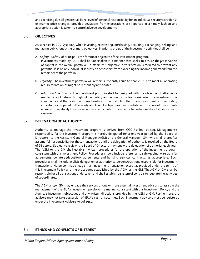and exercising due diligence shall be relieved of personal responsibility for an individual security's credit risk or market price changes, provided deviations from expectations are reported in a timely fashion and appropriate action is taken to control adverse developments.

## **4.0 OBJECTIVES**

As specified in CGC §53600.5, when investing, reinvesting, purchasing, acquiring, exchanging, selling, and managing public funds; the primary objectives, in priority order, of the investment activities shall be:

- **A.** *Safety:* Safety of principal is the foremost objective of the investment program. Investments made by IEUA shall be undertaken in a manner that seeks to ensure the preservation of capital in the overall portfolio. To attain this objective, diversification is required to prevent any potential loss on any individual security or depository from exceeding the income generated from the remainder of the portfolio.
- **B.** *Liquidity:* The investment portfolio will remain sufficiently liquid to enable IEUA to meet all operating requirementswhich might be reasonably anticipated.
- **C.** *Return on Investments:* The investment portfolio shall be designed with the objective of attaining a market rate of return throughout budgetary and economic cycles, considering the investment risk constraints and the cash flow characteristics of the portfolio. Return on investment is of secondary importance compared to the safety and liquidity objectives described above. The core of investments is limited to relatively low-risk securities in anticipation of earning a fair return relative to the risk being assumed.

## **5.0 DELEGATION OF AUTHORITY**

Authority to manage the investment program is derived from CGC §53600, et seq. Management's responsibility for the investment program is hereby delegated for a one-year period by the Board of Directors, to the Assistant General Manager (AGM) or the General Manager (GM) who shall thereafter assume full responsibility for those transactions until the delegation of authority is revoked by the Board of Directors. Subject to review, the Board of Directors may renew the delegation of authority each year. The AGM or the GM shall establish written procedures for the operation of the investment program consistent with this Investment Policy. Procedures should include reference to safekeeping, wire transfer agreements, collateral/depository agreements and banking services contracts, as appropriate. Such procedures shall include explicit delegation of authority to persons/positions responsible for investment transactions. No person may engage in an investment transaction except as provided under the terms of this Investment Policy and the procedures established by the AGM or the GM. The AGM or GM shall be responsible for all transactions undertaken and shall establish a system of controls to regulate the activities of subordinates.

The AGM and/or GM may engage the services of one or more external investment advisors to assist in the management of the IEUA's investment portfolio in a manner consistent with this Investment Policy and the Agency's investment objectives and any written directions provided by the AGM or GM. Furthermore, the advisors may not take possession of IEUA's cash or securities. Such investment advisors must be registered under the Investment Advisers Act of 1940.

## **6.0 ETHICS AND CONFLICTSOF INTEREST**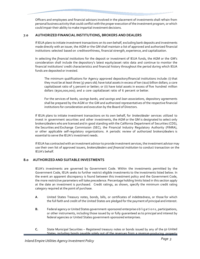Officers and employees and financial advisors involved in the placement of investments shall refrain from personal business activity that could conflict with the proper execution of the investment program, or which could impair their ability to make impartial investment decisions.

## **7.0 AUTHORIZEDFINANCIAL INSTITUTIONS, BROKERS AND DEALERS**

If IEUA plans to initiate investment transactions on its own behalf, excluding bank deposits and investments made directly with an issuer, the AGM or the GM shall maintain a list of approved and authorized financial institutions selected based on creditworthiness, financial strength, experience, and capitalization.

In selecting the *financial institutions* for the deposit or investment of IEUA funds, the AGM or the GM's consideration shall include the depository's latest equity/asset ratio data and continue to monitor the financial institutions' credit characteristics and financial history throughout the period during which IEUA funds are deposited or invested.

The minimum qualifications for Agency approved depository/financial institutions include: (i) that they must be at least three (3) years old; have total assets in excess of ten (\$10) billion dollars; a core capital/asset ratio of 5 percent or better; or (ii) have total assets in excess of five hundred million dollars (\$500,000,000); and a core capital/asset ratio of 6 percent or better.

For the services of *banks, savings banks, and savings and loan associations,* depository agreements shall be prepared by the AGM or the GM and authorized representatives of the respective financial institutions for consideration and execution by the Board of Directors.

If IEUA plans to initiate investment transactions on its own behalf, for *broker/dealer* services utilized to invest in government securities and other investments, the AGM or the GM is designated to select only brokers/dealers who are licensed and in good standing with the California Department of Securities (CDS), the Securities and Exchange Commission (SEC), the Financial Industry Regulatory Authority (FINRA), or other applicable self-regulatory organizations. A periodic review of authorized brokers/dealers is essential to serve the IEUA's investment needs.

If IEUA has contracted with an investment advisor to provide investment services, the investment advisor may use their own list of approved issuers, *brokers/dealers and financial institution* to conduct transaction on the IEUA's behalf.

## **8.0 AUTHORIZEDAND SUITABLE INVESTMENTS**

IEUA's investments are governed by Government Code. Within the investments permitted by the Government Code, IEUA seeks to further restrict eligible investments to the investments listed below. In the event an apparent discrepancy is found between this investment policy and the Government Code, the more restrictive parameters will take precedence. Percentage holding limits listed in this section apply at the date an investment is purchased. Credit ratings, as shown, specify the minimum credit rating category required at the point of purchase.

- **A**. United States Treasury notes, bonds, bills, or certificates of indebtedness, or those for which the full faith and credit of the United States are pledged for the payment of principal and interest.
- **B.** Federal agency or United States government-sponsored enterprise obligations , participations, or other instruments, including those issued by or fully guaranteed as to principal and interest by federal agencies or United States government-sponsored enterprises.
- **C.** State Municipal Securities Registered treasury notes or bonds issued by any of the 50 United States, including bonds payable solely out of the revenues from a revenue-producing property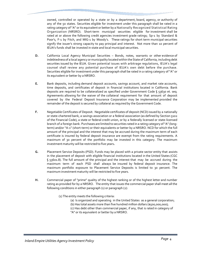owned, controlled or operated by a state or by a department, board, agency, or authority of any of the 50 states. Securities eligible for investment under this paragraph shall be rated in a rating category of"A" or its equivalent or better by a Nationally Recognized Statistical Rating Organization (NRSRO). Short-term municipal securities eligible for investment shall be rated at or above the following credit agencies investment grade ratings; Sp-1 by Standard & Poor's, F-1 by Fitch, and MIG-1 by Moody's. These ratings for short term municipal securities signify the issuer's strong capacity to pay principal and interest. Not more than 10 percent of IEUA's funds shall be invested in state and local municipal securities.

- **D.** California Local Agency Municipal Securities Bonds, notes, warrants or other evidence of indebtednessof a local agency or municipality locatedwithin the State of California, including debt securities issued by the IEUA. Given potential issues with arbitrage regulations, IEUA's legal counsel shall review any potential purchase of IEUA's own debt before the purchase. Securities eligible for investment under this paragraph shall be rated in a rating category of "A" or its equivalent or better by a NRSRO.
- **E.** Bank deposits, including demand deposit accounts, savings account, and market rate accounts, time deposits, and certificates of deposit in financial institutions located in California. Bank deposits are required to be collateralized as specified under Government Code § 53630 et. seq. Agreements allowing for the waiver of the collateral requirement for that amount of deposit covered by the Federal Deposit Insurance Corporation may be implemented provided the remainder of the deposit is secured by collateral as required by the Government Code.
- **F.** Negotiable Certificates of Deposit. Negotiable certificates of deposit (NCD) issued by a nationally or state-chartered bank, a savings association or a federal association (as defined by Section 5102 of the Financial Code), a state or federal credit union, or by a federally licensed or state-licensed branch of a foreign bank. Purchases are limited to securities rated in a rating category of "A" (longterm) and/or "A-1" (short-term) or their equivalents or better by a NRSRO. NCD for which the full amount of the principal and the interest that may be accrued during the maximum term of each certificate is insured by federal deposit insurance are exempt from the rating requirements. A maximum of 30 percent of the portfolio may be invested in this category. The maximum investment maturity will be restricted to five years**.**
- **G.** Placement Service Deposits (PSD). Funds may be placed with a private sector entity that assists in the placement of deposit with eligible financial institutions located in the United States (CGC § 53601.8). The full amount of the principal and the interest that may be accrued during the maximum term of each PSD shall always be insured by federal deposit insurance. The maximum portfolio exposure to Placement Service Deposits is limited to 30 percent. The maximum investment maturity will be restricted to five years.
- **H.** Commercial paper of "prime" quality of the highest ranking or of the highest letter and number rating as provided for by a NRSRO. The entity that issues the commercial paper shall meet all the following conditions in either paragraph  $(1)$  or paragraph  $(2)$ :

(1) The entity meets the following criteria:

- (a) Is organized and operating in the United States as a general corporation; (b) Has total assets more than five hundred million dollars (\$500,000,000);
- (c) Has debt other than commercial paper, if any, that is rated in category of "A" or its equivalent or better by a NRSRO.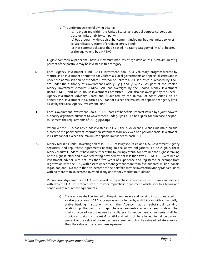(2) The entity meets the following criteria:

(a) Is organized within the United States as a special purpose corporation, trust, or limited liability company;

(b) Has program wide credit enhancements including, but not limited to, over collateralization, letters of credit, or surety bond;

(c) Has commercial paper that is rated in a rating category of "A-1" or better, or the equivalent, by a NRSRO.

Eligible commercial paper shall have a maximum maturity of 270 days or less. A maximum of 25 percent of the portfolio may be invested in this category.

- **I.** Local Agency Investment Fund (LAIF) investment pool is a voluntary program created by statute as an investment alternative for California's local governments and special districts and is under the administration of the State Governor of California. All securities purchased by LAIF are under the authority of Government Code §16429 and §16480.4. As part of the Pooled Money Investment Account (PMIA), LAIF has oversight by the Pooled Money Investment Board (PMIB), and an in- house Investment Committee. LAIF also has oversight by the Local Agency Investment Advisory Board and is audited by the Bureau of State Audits on an annual basis. Investment in California LAIF cannot exceed the maximum deposit per agency limit as set by the Local Agency Investment Fund.
- **J**. Local Government Investment Pools (LGIP). Shares of beneficial interest issued by a joint powers authority organized pursuant to Government Code § 6509.7. To be eligible for purchase, the pool must meet the requirements of CGC § 53601(p).

Whenever the IEUA has any funds invested in a LGIP, the AGM or the GM shall maintain on file a copy of the pools' currentinformation statementto be reviewed on a periodic basis. Investment in LGIPs cannot exceed the maximum deposit limit as set by each LGIP.

- **K.** Money Market Funds Investing solely in U.S. Treasury securities and U.S. Government Agency securities, and repurchase agreements relating to the above obligations. To be eligible, these Money Market Funds must have met either of the following criteria: (A) Attained the highest ranking or the highest letter and numerical rating provided by not less than two NRSROs. (B) Retained an investment advisor with not less than five years of experience and registered or exempt from registration with the SEC, with assets under management more than five hundred million dollars (\$500,000,000). No more than 20 percent of the portfolio may be invested in Money Market Funds with no more than 10 percent invested in any one money market mutual fund.
- **L.** Repurchase Agreements IEUA may invest in repurchase agreements with banks and dealers with which IEUA has entered into a master repurchase agreement which specifies terms and conditions of repurchase agreements.
	- 1) Transactions shall be limited to the primary dealers and banking institutions rated in a rating category of "A" or its equivalent or better by a NRSRO, or with a financially stable banking institution which the Agency has a substantial banking relationship. The maturity of repurchase agreements shall not exceed 90 days. The market value of securities used as collateral for repurchase agreements shall be monitored daily by the AGM or GM and will not be allowed to fall below 102 percent of the value of the repurchase agreement plus the value of collateral more than the value of the repurchase agreement.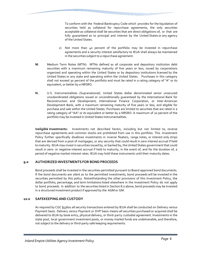To conform with the Federal Bankruptcy Code which provides for the liquidation of securities held as collateral for repurchase agreements, the only securities acceptable as collateral shall be securities that are direct obligations of, or that are fully guaranteed as to principal and interest by the United States or any agency of the United States.

- 2) Not more than 40 percent of the portfolio may be invested in repurchase agreements and a security interest satisfactory to IEUA shall always be maintained in the securities subject to a repurchase agreement.
- **M.** Medium Term Notes (MTN): MTNs defined as all corporate and depository institution debt securities with a maximum remaining maturity of five years or less, issued by corporations organized and operating within the United States or by depository institutions licensed by the United States or any state and operating within the United States. Purchases in this category shall not exceed 30 percent of the portfolio and must be rated in a rating category of "A" or its equivalent, or better by a NRSRO.
- **N.** U.S. Instrumentalities (Supranational). United States dollar denominated senior unsecured unsubordinated obligations issued or unconditionally guaranteed by the International Bank for Reconstruction and Development, International Finance Corporation, or Inter-American Development Bank, with a maximum remaining maturity of five years or less, and eligible for purchase and sale within the United States. Purchases are limited to securities that are rated in a rating category of "AA" or its equivalent or better by a NRSRO. A maximum of 20 percent of the portfolio may be invested in United States Instrumentalities.

**Ineligible Investments:** Investments not described herein, including but not limited to, reverse repurchase agreements and common stocks are prohibited from use in this portfolio. This Investment Policy further specifically disallows investments in inverse floaters, range notes, or interest only strips that are derived from a pool of mortgages, or any security that could result in zero interest accrual if held to maturity. IEUA may invest in securities issued by, or backed by, the United States government that could result in zero- or negative-interest accrual if held to maturity, in the event of, and for the duration of, a period of negative market interest rates. IEUA may hold these instruments until their maturity dates.

## **9.0 AUTHORIZEDINVESTMENTS FOR BONDPROCEEDS**

Bond proceeds shall be invested in the securities permitted pursuant to Board approved bond documents. If the bond documents are silent as to the permitted investments, bond proceeds will be invested in the securities permitted by this policy. Notwithstanding the other provisions of this Investment Policy, the dollar portfolio, percentage, and term limitations listed elsewhere in the Investment Policy do not apply to bond proceeds. In addition to the securities listed in Section 8.0 above, bond proceeds may be invested in a structured investment product if approved by the AGM or GM.

## **10.0 SAFEKEEPING AND CUSTODY**

As required by CGC §53601 all security transactions entered by IEUA shall be conducted on Delivery versus Payment basis. Delivery versus Payment or DVP basis means all securities purchased or acquired shall be delivered to IEUA by book entry, physical delivery, or third-party custodial agreement. Investments in the state pool, local government investment pools, or money market funds are undeliverable, and therefore, not subject to the delivery or third-party safe keeping requirements.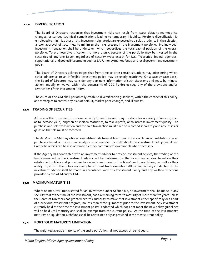## **11.0 DIVERSIFICATION**

The Board of Directors recognize that investment risks can result from issuer defaults, market price changes, or various technical complications leading to temporary illiquidity. Portfolio diversification is employed to minimize these risks. Investment signatories are expected to display prudence in the selection and/or approval of securities, to minimize the risks present in the investment portfolio. No individual investment transaction shall be undertaken which jeopardizes the total capital position of the overall portfolio. To promote diversification, no more than 5 percent of the portfolio may be invested in the securities of any one issuer, regardless of security type; except for U.S. Treasuries, federal agencies, supranational, and pooled investments such as LAIF, money market funds, and local government investment pools.

The Board of Directors acknowledges that from time to time certain situations may arise during which strict adherence to an inflexible investment policy may be overly restrictive. On a case by case basis, the Board of Directors may consider any pertinent information of such situations and may, by minute action, modify or waive, within the constraints of CGC §53601 et seq., any of the provisions and/or restrictions of this Investment Policy.

The AGM or the GM shall periodically establish diversification guidelines, within the context of this policy, and strategies to control any risks of default, market price changes, and illiquidity.

## **12.0 TRADING OF SECURITIES**

A trade is the movement from one security to another and may be done for a variety of reasons, such as to increase yield, lengthen or shorten maturities, to take a profit, or to increase investment quality. The purchase and sale transaction and the sale transaction must each be recorded separately and any losses or gains on the sale must be recorded.

The AGM or the GM may obtain competitive bids from at least two brokers or financial institutions on all purchases based on investment analysis recommended by staff about the investment policy guidelines. Competitive bids can be also obtained by other communication channels when necessary.

If the Agency has contracted with an investment advisor to provide investment service, the trading of the funds managed by the investment advisor will be performed by the investment advisor based on their established policies and procedure to evaluate and monitor the firms' credit worthiness, as well as their ability to perform the duties necessary for efficient trade execution. All trading activity conducted by the investment advisor shall be made in accordance with this Investment Policy and any written directions provided by the AGM and/or GM .

## **13.0 MAXIMUM MATURITIES**

Where no maturity limit is stated for an investment under Section 8.0, no investment shall be made in any security that at the time of the investment, has a remaining term to maturity of more than five years unless the Board of Directors has granted express authority to make that investment either specifically or as part of a previous investment program, no less than three (3) months prior to the investment. Any investment currently held at the time the investment policy is adopted which does not meet the new policy guidelines will be held until maturity and shall be exempt from the current policy. At the time of the investment's maturity or liquidation such funds shall be reinvested only as provided in the most current policy.

## **14.0 PORTFOLIO MATURITY LIMITATION**

The weighted average maturity of the entire portfolio shall not exceed three (3) years.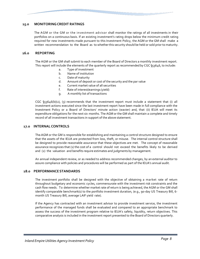## **15.0 MONITORING CREDIT RATINGS**

The AGM or the GM or the investment advisor shall monitor the ratings of all investments in their portfolios on a continuous basis. If an existing investment's rating drops below the minimum credit rating required for new investments made pursuant to this Investment Policy, the AGM or the GM shall make a written recommendation to the Board as to whether this security should be held or sold prior to maturity.

## **16.0 REPORTING**

The AGM or the GM shall submit to each member of the Board of Directors a monthly investment report. This report will include the elements of the quarterly report as recommended by CGC §53646, to include:

- a. Type of investment
- b. Name of institution
- c. Date of maturity
- d. Amount of deposit or cost of the security and the par value
- e. Current market value of all securities
- f. Rate of interest/earnings (yield)
- g. A monthly list of transactions

CGC  $\S$ 53646(b)(2), (3) recommends that the investment report must include a statement that (i) all investment actions executed since the last investment report have been made in full compliance with the Investment Policy or a Board of Directors' minute action (wavier) and, that (ii) IEUA will meet its expenditure obligations for the next six months. The AGM or the GM shall maintain a complete and timely record of all investment transactions in support of the above statement.

## **17.0 INTERNAL CONTROLS**

The AGM or the GM is responsible for establishing and maintaining a control structure designed to ensure that the assets of the IEUA are protected from loss, theft, or misuse. The internal control structure shall be designed to provide reasonable assurance that these objectives are met. The concept of reasonable assurance recognizes that (1) the cost of a control should not exceed the benefits likely to be derived and (2) the valuation and benefits require estimates and judgments by management.

An annual independent review, or as needed to address recommended changes, by an external auditor to assure compliance with policies and procedures will be performed as part of the IEUA's annual audit.

## **18.0 PERFORMANCE STANDARDS**

The investment portfolio shall be designed with the objective of obtaining a market rate of return throughout budgetary and economic cycles, commensurate with the investment risk constraints and the cash flow needs. To determine whether market rate of return is being achieved, the AGM or the GM shall identify comparable benchmark(s) to the portfolio investment duration, (e.g., 90-day US Treasury Bill, 6 month US Treasury Bill, average LAIF yield rate).

If the Agency has contracted with an investment advisor to provide investment service, the investment performance of the managed funds shall be evaluated and compared to an appropriate benchmark to assess the success of the investment program relative to IEUA's safety, liquidity, return objectives. This comparative analysis is included in the investment report presented to the Board of Directors quarterly.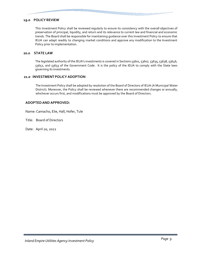## **19.0 POLICY REVIEW**

This Investment Policy shall be reviewed regularly to ensure its consistency with the overall objectives of preservation of principal, liquidity, and return and its relevance to current law and financial and economic trends. The Board shall be responsible for maintaining guidance over this Investment Policy to ensure that IEUA can adapt readily to changing market conditions and approve any modification to the Investment Policy prior to implementation.

## **20.0 STATE LAW**

The legislated authority of the IEUA's investments is covered in Sections 53601, 53607, 53635, 53638, 53646, 53652, and 53653 of the Government Code. It is the policy of the IEUA to comply with the State laws governing its investments.

## **21.0 INVESTMENTPOLICY ADOPTION**

The Investment Policy shall be adopted by resolution of the Board of Directors of IEUA (A Municipal Water District). Moreover, the Policy shall be reviewed whenever there are recommended changes or annually, whichever occurs first, and modifications must be approved by the Board of Directors.

## **ADOPTEDAND APPROVED:**

Name: Camacho, Elie, Hall, Hofer, Tule

Title: Board of Directors

Date: April 20, 2022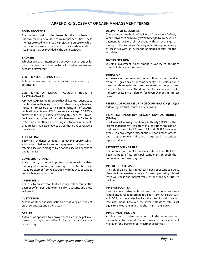# **APPENDIX: GLOSSARY OF CASH MANAGEMENT TERMS**

#### **BOND PROCEEDS:**

The money paid to the issuer by the purchaser or underwriter of a new issue of municipal securities. These moneys are used to finance the project or purpose for which the securities were issued and to pay certain costs of issuance as may be provided in the bond contract.

#### **BROKER:**

A broker acts as an intermediary between a buyer and seller for a commission and does not trade for his/her own risk and account or inventory.

#### **CERTIFICATE OF DEPOSIT (CD):**

A time deposit with a specific maturity evidenced by a certificate.

#### **CERTIFICATE OF DEPOSIT ACCOUNT REGISTRY SYSTEM (CDARS):**

A private CD placement service that allows local agencies to purchase more than \$250,000 in CDs from a single financial institution (must be a participating institution of CDARS) while still maintaining FDIC insurance coverage. CDARS is currently the only entity providing this service. CDARS facilitates the trading of deposits between the California institution and other participating institutions in amounts that are less than \$250,000 each, so that FDIC coverage is maintained.

### **COLLATERAL:**

Securities, evidence of deposit or other property, which a borrower pledges to secure repayment of a loan. Also refers to securities pledged by a bank to secure deposits of public monies.

#### **COMMERCIAL PAPER:**

A short-term, unsecured, promissory note with a fixed maturity of no more than 270 days. By statute, these issues are exempt from registration with the U.S. Securities and Exchange Commission.

#### **CREDIT RISK:**

The risk to an investor that an issuer will default in the payment of interest and/or principal on a security and a loss will result.

#### **CUSTODIAN:**

A bank or other financial institution that keeps custody of stock certificates and other assets.

#### **DEALER:**

A dealer, as opposed to a broker, acts a s a principal in all transaction, buying and selling for his own risk and account or inventory.

#### **DELIVERY OF SECURITIES:**

There are two methods of delivery of securities*; Delivery versus Payment* and *Delivery versus Receip*t. Delivery versus payment is delivery of securities with an exchange of money for the securities. Delivery versus receipt is delivery of securities with an exchange of signed receipt for the securities.

#### **DIVERSIFICATION:**

Dividing investment funds among a variety of securities offering independent returns.

#### **DURATION:**

A measure of the timing of the cash flows to be received from a given-fixed income security. This calculation is based on three variables: term to maturity, coupon rate, and yield to maturity. The duration of a security is a useful indicator of its price volatility for given changes in interest rates.

#### **FEDERAL DEPOSIT INSURANCE CORPORATION (FDIC):** A federal agency that insures bank deposits.

#### **FINANCIAL INDUSTRY REGULATORY AUTHORITY (FINRA):**

The Financial Industry Regulatory Authority (FINRA) is the largest independent regulator for all securities firms doing business in the United States. All told, FINRA oversees over 4,200 brokerage firms, about 162,000 branch offices and approximately 634,000 registered securities representatives.

#### **INTEREST ONLY STRIPS:**

The interest portion of a Treasury note or bond that has been stripped of its principal component through the commercial book-entry system.

#### **INTEREST RATE RISK:**

The risk of gain or loss in market values of securities due to changes in interest-rate levels. For example, rising interest rates will cause the market value of portfolio securities to decline.

#### **INVERSE FLOATER:**

Fixed income instruments whose coupon or interest rate is periodically reset according to a short-term rate index such as LIBOR, or prime rate. Unlike the traditional floating rate instrument, however, the inverse floater's rate is set equal to a fixed rate minus the short-term rate index.

#### **INVESTMENT POLICY:**

A clear and concise statement of the objectives and parameters formulated by an investor or investment manager for a portfolio of investment securities.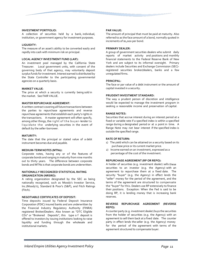#### **INVESTMENT PORTFOLIO:**

A collection of securities held by a bank, individual, institution, or government agency for investment purposes.

#### **LIQUIDITY:**

The measure of an asset's ability to be converted easily and rapidly into cash with minimum risk on principal.

#### **LOCAL AGENCY INVESTMENT FUND (LAIF):**

An investment pool managed by the California State Treasurer. Local government units, with consent of the governing body of that agency, may voluntarily deposit surplus funds for investment. Interest earned is distributed by the State Controller to the participating governmental agencies on a quarterly basis.

#### **MARKET VALUE**:

The price at which a security is currently being sold in the market. See FAIR VALUE.

#### **MASTER REPURCHASE AGREEMENT:**

A written contract covering all future transactions between the parties to repurchase agreements and reverse repurchase agreements that establish each party's rights in the transactions. A master agreement will often specify, among other things, the right of the buyer-lender to liquidate the underlying securities in the event of default by the seller-borrower.

#### **MATURITY:**

The date that the principal or stated value of a debt instrument becomes due and payable.

#### **MEDIUM-TERM NOTES (MTNs):**

Corporate notes, having any or of the features of corporate bonds and ranging in maturity from nine months out to thirty years. The difference between corporate bonds and MTNs is that corporate bonds are underwritten.

#### **NATIONALLY RECOGNIZED STATISTICAL RATING ORGANIZATION (NRSRO):**

A rating organization designated by the SEC as being nationally recognized, such as Moody's Investor Service, Inc.(Moody's), Standard & Poor's (S&P), and Fitch Ratings (Fitch).

#### **NEGOTIABLE CERTIFICATES OF DEPOSIT:**

Time deposits issued by Federal Deposit Insurance Corporation (FDIC) insured banks and are underwritten by the Financial Industry Regulatory Authority (FINRA) registered Broker/Dealers. Also known as "DTC Eligible CDs" or "Brokered Deposits", this type o f deposit is offered to investors by issuing institutions looking to raise liquidity and funding through the wholesale and institutional markets.

#### **PAR VALUE:**

The amount of principal that must be paid at maturity. Also referred to as the face amount of a bond, normally quoted in increments of \$1,000 per bond.

#### **PRIMARY DEALER:**

A group of government securities dealers who submit daily reports of market activity and positions and monthly financial statements to the Federal Reserve Bank of New York and are subject to its informal oversight. Primary dealers include Securities and Exchange Commission (SEC) registered securities broker/dealers, banks and a few unregulated firms.

#### **PRINCIPAL:**

The face or par value of a debt instrument or the amount of capital invested in a security.

#### **PRUDENT INVESTMENT STANDARD:**

The way a prudent person of discretion and intelligence would be expected to manage the investment program in seeking a reasonable income and preservation of capital.

#### **RANGE NOTES:**

Securities that accrue interest during an interest period at a fixed or variable rate if a specified index is within a specified range during a designated period or at a point in time. A Range Note may not bear interest if the specified index is outside the specified range.

#### **RATE OF RETURN:**

- 1) The yield which can be attained on a security based on its purchase price or its current market price.
- 2) Income earned on an investment, expressed as a percentage of the cost of the investment.

#### **REPURCHASE AGREEMENT (RP OR REPO):**

A holder of securities (e.g. investment dealer) sells these securities to an investor (e.g. the Agency) with an agreement to repurchase them at a fixed date. The security "buyer" (e.g. the Agency) in effect lends the "seller" money for the period of the agreement, and the terms of the agreement are structured to compensate the "buyer" for this. Dealers use RP extensively to finance their positions. Exception: When the Fed is said to be doing RP, it is lending money that is increasing bank reserves.

#### **REVERSE REPURCHASE AGREEMENT (REVERSE REPO):**

A counter party (e.g. investment dealer) buys the securities from the holder of securities (e.g. the Agency) with an agreement to sell them back at a fixed date. The counter party in effect lends the seller (e.g. the Agency) money for the period of the agreement with terms of the agreement structured to compensate buyer.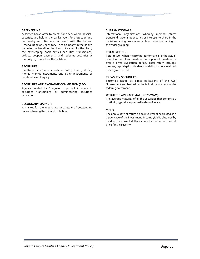#### **SAFEKEEPING:**

A service banks offer to clients for a fee, where physical securities are held in the bank's vault for protection and book-entry securities are on record with the Federal Reserve Bank or Depository Trust Company in the bank's name for the benefit of the client. As agent for the client, the safekeeping bank settles securities transactions, collects coupon payments, and redeems securities at maturity or, if called, on the call date.

#### **SECURITIES:**

Investment instruments such as notes, bonds, stocks, money market instruments and other instruments of indebtedness of equity.

#### **SECURITIES AND EXCHANGE COMMISSION (SEC):**

Agency created by Congress to protect investors in securities transactions by administering securities legislation.

#### **SECONDARY MARKET:**

A market for the repurchase and resale of outstanding issues following the initial distribution.

#### **SUPRANATIONALS:**

International organizations whereby member states transcend national boundaries or interests to share in the decision-making process and vote on issues pertaining to the wider grouping.

#### **TOTAL RETURN:**

Total return, when measuring performance, is the actual rate of return of an investment or a pool of investments over a given evaluation period. Total return includes interest, capital gains, dividends and distributions realized over a given period.

#### **TREASURY SECURITIES:**

Securities issued as direct obligations of the U.S. Government and backed by the full faith and credit of the federal government.

#### **WEIGHTED AVERAGE MATURITY (WAM):**

The average maturity of all the securities that comprise a portfolio, typically expressed in days of years.

#### **YIELD:**

The annual rate of return on an investment expressed as a percentage of the investment. Income yield is obtained by dividing the current dollar income by the current market price for the security.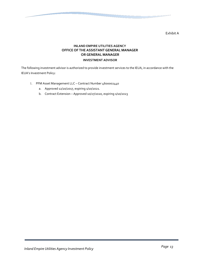Exhibit A

# **INLAND EMPIRE UTILITIES AGENCY OFFICE OF THE ASSISTANT GENERAL MANAGER OR GENERAL MANAGER INVESTMENT ADVISOR**

The following investment advisor is authorized to provide investment services to the IEUA, in accordance with the IEUA's Investment Policy:

- 1. PFM Asset Management LLC Contract Number 4600002440
	- a. Approved 12/20/2017, expiring 1/10/2021.
	- b. Contract Extension Approved 10/27/2020, expiring 1/10/2023